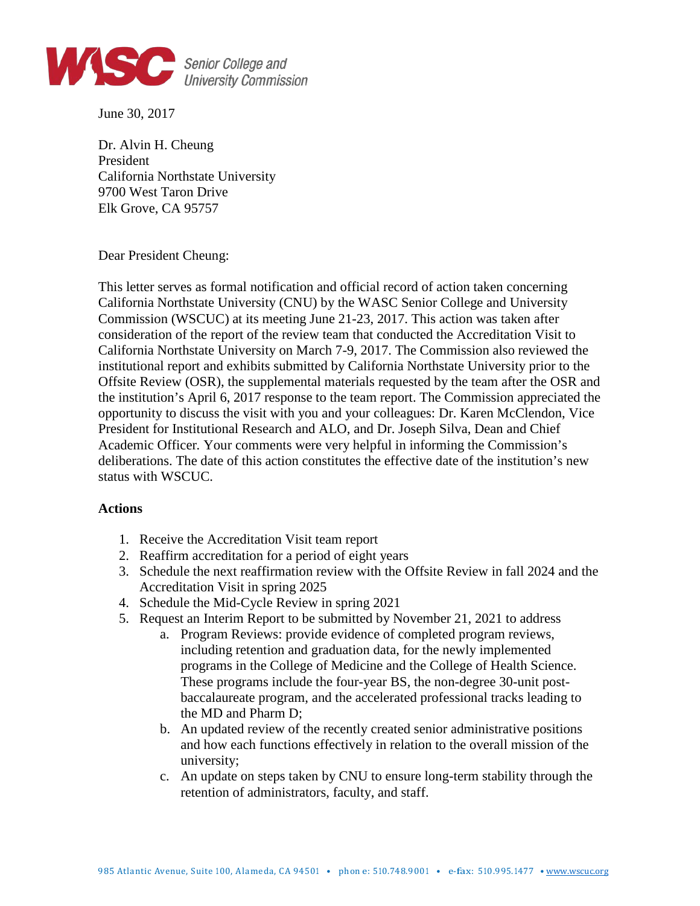

June 30, 2017

Dr. Alvin H. Cheung President California Northstate University 9700 West Taron Drive Elk Grove, CA 95757

Dear President Cheung:

This letter serves as formal notification and official record of action taken concerning California Northstate University (CNU) by the WASC Senior College and University Commission (WSCUC) at its meeting June 21-23, 2017. This action was taken after consideration of the report of the review team that conducted the Accreditation Visit to California Northstate University on March 7-9, 2017. The Commission also reviewed the institutional report and exhibits submitted by California Northstate University prior to the Offsite Review (OSR), the supplemental materials requested by the team after the OSR and the institution's April 6, 2017 response to the team report. The Commission appreciated the opportunity to discuss the visit with you and your colleagues: Dr. Karen McClendon, Vice President for Institutional Research and ALO, and Dr. Joseph Silva, Dean and Chief Academic Officer*.* Your comments were very helpful in informing the Commission's deliberations. The date of this action constitutes the effective date of the institution's new status with WSCUC.

## **Actions**

- 1. Receive the Accreditation Visit team report
- 2. Reaffirm accreditation for a period of eight years
- 3. Schedule the next reaffirmation review with the Offsite Review in fall 2024 and the Accreditation Visit in spring 2025
- 4. Schedule the Mid-Cycle Review in spring 2021
- 5. Request an Interim Report to be submitted by November 21, 2021 to address
	- a. Program Reviews: provide evidence of completed program reviews, including retention and graduation data, for the newly implemented programs in the College of Medicine and the College of Health Science. These programs include the four-year BS, the non-degree 30-unit postbaccalaureate program, and the accelerated professional tracks leading to the MD and Pharm D;
	- b. An updated review of the recently created senior administrative positions and how each functions effectively in relation to the overall mission of the university;
	- c. An update on steps taken by CNU to ensure long-term stability through the retention of administrators, faculty, and staff.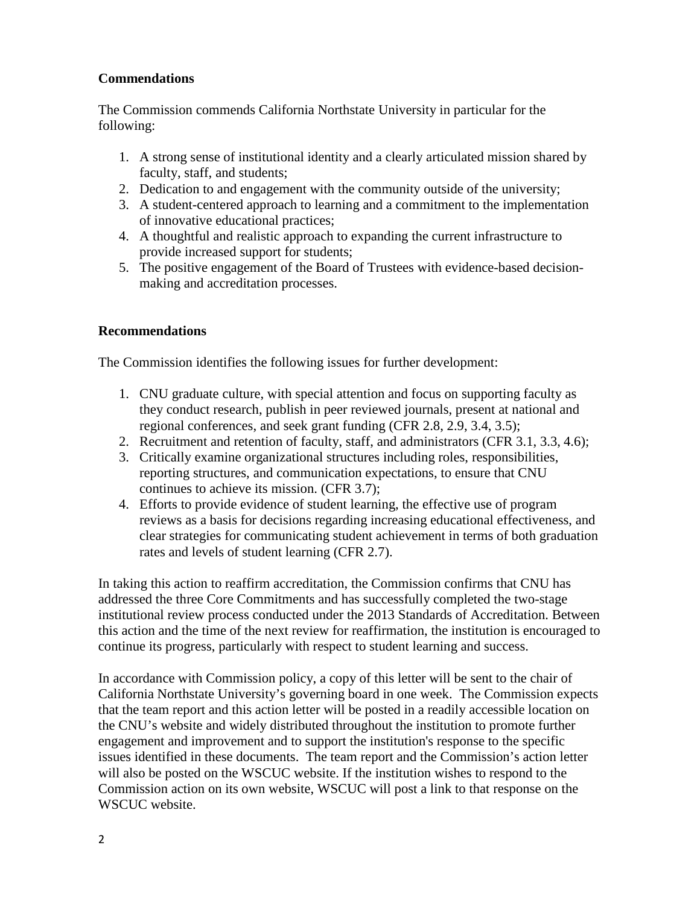## **Commendations**

The Commission commends California Northstate University in particular for the following:

- 1. A strong sense of institutional identity and a clearly articulated mission shared by faculty, staff, and students;
- 2. Dedication to and engagement with the community outside of the university;
- 3. A student-centered approach to learning and a commitment to the implementation of innovative educational practices;
- 4. A thoughtful and realistic approach to expanding the current infrastructure to provide increased support for students;
- 5. The positive engagement of the Board of Trustees with evidence-based decisionmaking and accreditation processes.

## **Recommendations**

The Commission identifies the following issues for further development:

- 1. CNU graduate culture, with special attention and focus on supporting faculty as they conduct research, publish in peer reviewed journals, present at national and regional conferences, and seek grant funding (CFR 2.8, 2.9, 3.4, 3.5);
- 2. Recruitment and retention of faculty, staff, and administrators (CFR 3.1, 3.3, 4.6);
- 3. Critically examine organizational structures including roles, responsibilities, reporting structures, and communication expectations, to ensure that CNU continues to achieve its mission. (CFR 3.7);
- 4. Efforts to provide evidence of student learning, the effective use of program reviews as a basis for decisions regarding increasing educational effectiveness, and clear strategies for communicating student achievement in terms of both graduation rates and levels of student learning (CFR 2.7).

In taking this action to reaffirm accreditation, the Commission confirms that CNU has addressed the three Core Commitments and has successfully completed the two-stage institutional review process conducted under the 2013 Standards of Accreditation. Between this action and the time of the next review for reaffirmation, the institution is encouraged to continue its progress, particularly with respect to student learning and success.

In accordance with Commission policy, a copy of this letter will be sent to the chair of California Northstate University's governing board in one week. The Commission expects that the team report and this action letter will be posted in a readily accessible location on the CNU's website and widely distributed throughout the institution to promote further engagement and improvement and to support the institution's response to the specific issues identified in these documents. The team report and the Commission's action letter will also be posted on the WSCUC website. If the institution wishes to respond to the Commission action on its own website, WSCUC will post a link to that response on the WSCUC website.